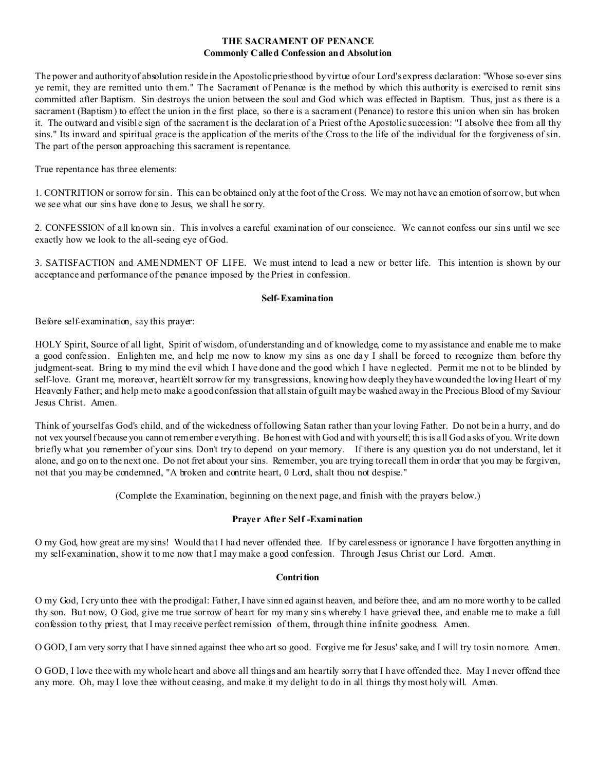## **THE SACRAMENT OF PENANCE Commonly Called Confession and Absolution**

The power and authority of absolution reside in the Apostolic priesthood by virtue of our Lord's express declaration: "Whose so-ever sins ye remit, they are remitted unto th em." The Sacrament of Penance is the method by which this authority is exercised to remit sins committed after Baptism. Sin destroys the union between the soul and God which was effected in Baptism. Thus, just as there is a sacrament (Baptism) to effect the union in the first place, so there is a sacrament (Penance) to restore this union when sin has broken it. The outward and visible sign of the sacrament is the declaration of a Priest of the Apostolic succession: "I absolve thee from all thy sins." Its inward and spiritual grace is the application of the merits of the Cross to the life of the individual for the forgiveness of sin. The part of the person approaching this sacrament is repentance.

True repentance has thr ee elements:

1. CONTRITION or sorrow for sin. This can be obtained only at the foot of the Cross. We may not have an emotion of sorrow, but when we see what our sins have done to Jesus, we shall he sorry.

2. CONFESSION of all known sin. This involves a careful examination of our conscience. We cannot confess our sins until we see exactly how we look to the all-seeing eye of God.

3. SATISFACTION and AMENDMENT OF LIFE. We must intend to lead a new or better life. This intention is shown by our acceptance and performance of the penance imposed by the Priest in confession.

## **Self-Examination**

Before self-examination, say this prayer:

HOLY Spirit, Source of all light, Spirit of wisdom, of understanding and of knowledge, come to my assistance and enable me to make a good confession. Enlighten me, and help me now to know my sins as one day I shall be forced to recognize them before thy judgment-seat. Bring to my mind the evil which I have done and the good which I have n eglected. Permit me n ot to be blinded by self-love. Grant me, moreover, heartfelt sorrow for my transgressions, knowing how deeply they have wounded the loving Heart of my Heavenly Father; and help me to make a good confession that all stain of guilt may be washed away in the Precious Blood of my Saviour Jesus Christ. Amen.

Think of yourself as God's child, and of the wickedness of following Satan rather than your loving Father. Do not be in a hurry, and do not vex yourself because you cannot remember everything. Be honest with God and with yourself; this is all God asks of you. Write down briefly what you remember of your sins. Don't try to depend on your memory. If there is any question you do not understand, let it alone, and go on to the next one. Do not fret about your sins. Remember, you are trying to recall them in order that you may be forgiven, not that you may be condemned, "A broken and contrite heart, 0 Lord, shalt thou not despise."

(Complete the Examination, beginning on the next page, and finish with the prayers below.)

## **Prayer After Self -Examination**

O my God, how great are my sins! Would that I had never offended thee. If by carelessness or ignorance I have forgotten anything in my self-examination, show it to me now that I may make a good confession. Through Jesus Christ our Lord. Amen.

## **Contrition**

O my God, I cry unto thee with the prodigal: Father, I have sinn ed against heaven, and before thee, and am no more worthy to be called thy son. But now, O God, give me true sorrow of heart for my many sins whereby I have grieved thee, and enable me to make a full confession to thy priest, that I may receive perfect remission of them, through thine infinite goodness. Amen.

O GOD, I am very sorry that I have sinned against thee who art so good. Forgive me for Jesus' sake, and I will try to sin no more. Amen.

O GOD, I love thee with my whole heart and above all things and am heartily sorry that I have offended thee. May I never offend thee any more. Oh, may I love thee without ceasing, and make it my delight to do in all things thy most holy will. Amen.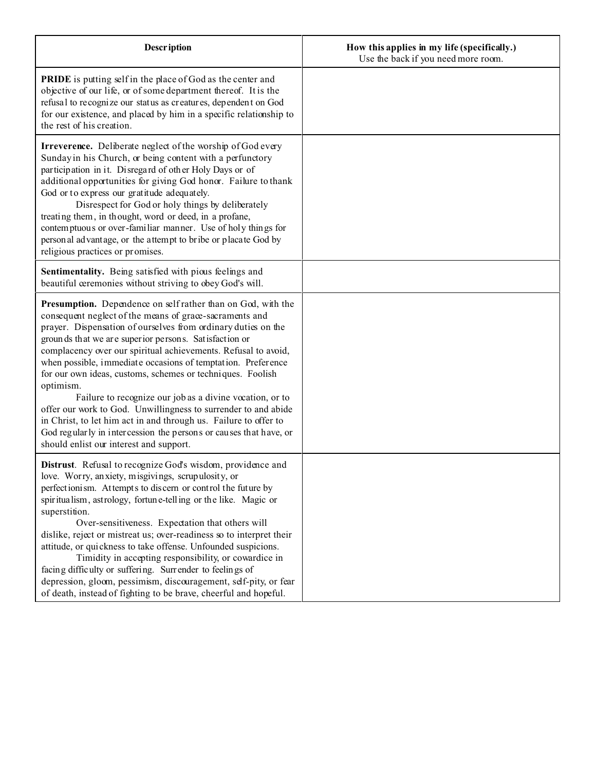| Description                                                                                                                                                                                                                                                                                                                                                                                                                                                                                                                                                                                                                                                                                                                                                                      | How this applies in my life (specifically.)<br>Use the back if you need more room. |
|----------------------------------------------------------------------------------------------------------------------------------------------------------------------------------------------------------------------------------------------------------------------------------------------------------------------------------------------------------------------------------------------------------------------------------------------------------------------------------------------------------------------------------------------------------------------------------------------------------------------------------------------------------------------------------------------------------------------------------------------------------------------------------|------------------------------------------------------------------------------------|
| <b>PRIDE</b> is putting self in the place of God as the center and<br>objective of our life, or of some department thereof. It is the<br>refusal to recognize our status as creatures, dependent on God<br>for our existence, and placed by him in a specific relationship to<br>the rest of his creation.                                                                                                                                                                                                                                                                                                                                                                                                                                                                       |                                                                                    |
| Irreverence. Deliberate neglect of the worship of God every<br>Sunday in his Church, or being content with a perfunctory<br>participation in it. Disregard of other Holy Days or of<br>additional opportunities for giving God honor. Failure to thank<br>God or to express our gratitude adequately.<br>Disrespect for God or holy things by deliberately<br>treating them, in thought, word or deed, in a profane,<br>contemptuous or over-familiar manner. Use of holy things for<br>person al advantage, or the attempt to bribe or placate God by<br>religious practices or promises.                                                                                                                                                                                       |                                                                                    |
| Sentimentality. Being satisfied with pious feelings and<br>beautiful ceremonies without striving to obey God's will.                                                                                                                                                                                                                                                                                                                                                                                                                                                                                                                                                                                                                                                             |                                                                                    |
| Presumption. Dependence on self rather than on God, with the<br>consequent neglect of the means of grace-sacraments and<br>prayer. Dispensation of ourselves from ordinary duties on the<br>grounds that we are superior persons. Satisfaction or<br>complacency over our spiritual achievements. Refusal to avoid,<br>when possible, immediate occasions of temptation. Preference<br>for our own ideas, customs, schemes or techniques. Foolish<br>optimism.<br>Failure to recognize our job as a divine vocation, or to<br>offer our work to God. Unwillingness to surrender to and abide<br>in Christ, to let him act in and through us. Failure to offer to<br>God regularly in intercession the persons or causes that have, or<br>should enlist our interest and support. |                                                                                    |
| Distrust. Refusal to recognize God's wisdom, providence and<br>love. Worry, anxiety, misgivings, scrupulosity, or<br>perfectionism. Attempts to discern or control the future by<br>spiritualism, astrology, fortune-telling or the like. Magic or<br>superstition.<br>Over-sensitiveness. Expectation that others will<br>dislike, reject or mistreat us; over-readiness so to interpret their<br>attitude, or quickness to take offense. Unfounded suspicions.<br>Timidity in accepting responsibility, or cowardice in<br>facing difficulty or suffering. Surrender to feelings of<br>depression, gloom, pessimism, discouragement, self-pity, or fear<br>of death, instead of fighting to be brave, cheerful and hopeful.                                                    |                                                                                    |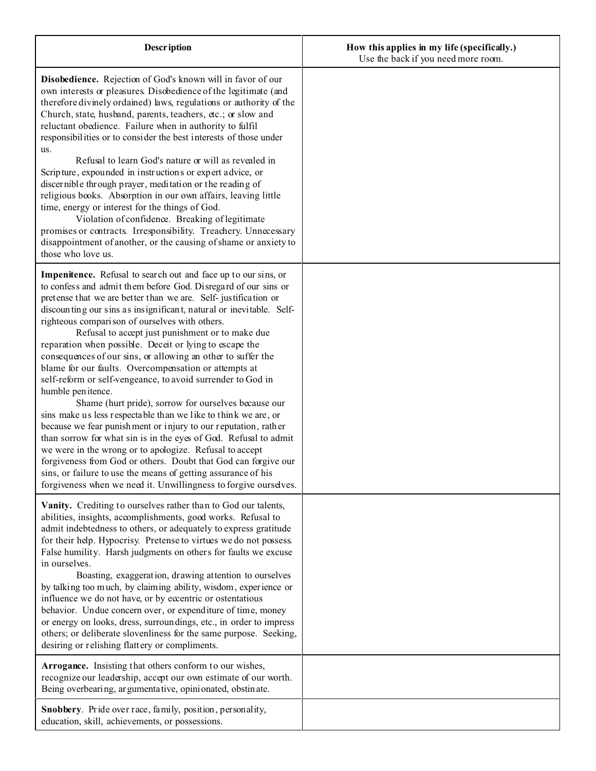| <b>Description</b>                                                                                                                                                                                                                                                                                                                                                                                                                                                                                                                                                                                                                                                                                                                                                                                                                                                                                                                                                                                                                                                                                                                                                                               | How this applies in my life (specifically.)<br>Use the back if you need more room. |
|--------------------------------------------------------------------------------------------------------------------------------------------------------------------------------------------------------------------------------------------------------------------------------------------------------------------------------------------------------------------------------------------------------------------------------------------------------------------------------------------------------------------------------------------------------------------------------------------------------------------------------------------------------------------------------------------------------------------------------------------------------------------------------------------------------------------------------------------------------------------------------------------------------------------------------------------------------------------------------------------------------------------------------------------------------------------------------------------------------------------------------------------------------------------------------------------------|------------------------------------------------------------------------------------|
| Disobedience. Rejection of God's known will in favor of our<br>own interests or pleasures. Disobedience of the legitimate (and<br>therefore divinely ordained) laws, regulations or authority of the<br>Church, state, husband, parents, teachers, etc.; or slow and<br>reluctant obedience. Failure when in authority to fulfil<br>responsibilities or to consider the best interests of those under<br>us.<br>Refusal to learn God's nature or will as revealed in<br>Scripture, expounded in instructions or expert advice, or<br>discernible through prayer, meditation or the reading of<br>religious books. Absorption in our own affairs, leaving little<br>time, energy or interest for the things of God.<br>Violation of confidence. Breaking of legitimate                                                                                                                                                                                                                                                                                                                                                                                                                            |                                                                                    |
| promises or contracts. Irresponsibility. Treachery. Unnecessary<br>disappointment of another, or the causing of shame or anxiety to<br>those who love us.                                                                                                                                                                                                                                                                                                                                                                                                                                                                                                                                                                                                                                                                                                                                                                                                                                                                                                                                                                                                                                        |                                                                                    |
| <b>Impenitence.</b> Refusal to search out and face up to our sins, or<br>to confess and admit them before God. Disregard of our sins or<br>pretense that we are better than we are. Self-justification or<br>discounting our sins as insignificant, natural or inevitable. Self-<br>righteous comparison of ourselves with others.<br>Refusal to accept just punishment or to make due<br>reparation when possible. Deceit or lying to escape the<br>consequences of our sins, or allowing an other to suffer the<br>blame for our faults. Overcompensation or attempts at<br>self-reform or self-vengeance, to avoid surrender to God in<br>humble penitence.<br>Shame (hurt pride), sorrow for ourselves because our<br>sins make us less respectable than we like to think we are, or<br>because we fear punishment or injury to our reputation, rather<br>than sorrow for what sin is in the eyes of God. Refusal to admit<br>we were in the wrong or to apologize. Refusal to accept<br>forgiveness from God or others. Doubt that God can forgive our<br>sins, or failure to use the means of getting assurance of his<br>forgiveness when we need it. Unwillingness to forgive ourselves. |                                                                                    |
| Vanity. Crediting to ourselves rather than to God our talents,<br>abilities, insights, accomplishments, good works. Refusal to<br>admit indebtedness to others, or adequately to express gratitude<br>for their help. Hypocrisy. Pretense to virtues we do not possess.<br>False humility. Harsh judgments on others for faults we excuse<br>in ourselves.<br>Boasting, exaggeration, drawing attention to ourselves<br>by talking too much, by claiming ability, wisdom, experience or<br>influence we do not have, or by eccentric or ostentatious<br>behavior. Undue concern over, or expenditure of time, money<br>or energy on looks, dress, surroundings, etc., in order to impress<br>others; or deliberate slovenliness for the same purpose. Seeking,<br>desiring or relishing flattery or compliments.                                                                                                                                                                                                                                                                                                                                                                                 |                                                                                    |
| Arrogance. Insisting that others conform to our wishes,<br>recognize our leadership, accept our own estimate of our worth.<br>Being overbearing, argumentative, opinionated, obstinate.                                                                                                                                                                                                                                                                                                                                                                                                                                                                                                                                                                                                                                                                                                                                                                                                                                                                                                                                                                                                          |                                                                                    |
| Snobbery. Pride over race, family, position, personality,<br>education, skill, achievements, or possessions.                                                                                                                                                                                                                                                                                                                                                                                                                                                                                                                                                                                                                                                                                                                                                                                                                                                                                                                                                                                                                                                                                     |                                                                                    |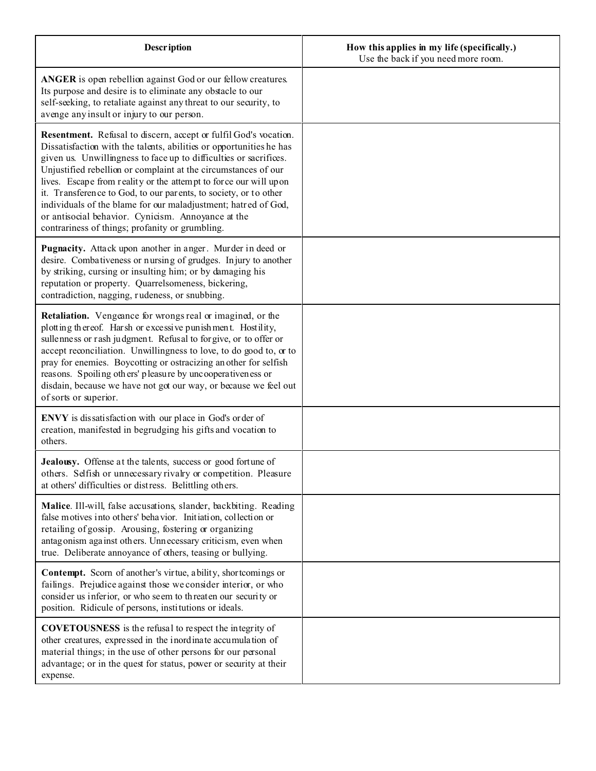| <b>Description</b>                                                                                                                                                                                                                                                                                                                                                                                                                                                                                                                                                                                | How this applies in my life (specifically.)<br>Use the back if you need more room. |
|---------------------------------------------------------------------------------------------------------------------------------------------------------------------------------------------------------------------------------------------------------------------------------------------------------------------------------------------------------------------------------------------------------------------------------------------------------------------------------------------------------------------------------------------------------------------------------------------------|------------------------------------------------------------------------------------|
| <b>ANGER</b> is open rebellion against God or our fellow creatures.<br>Its purpose and desire is to eliminate any obstacle to our<br>self-seeking, to retaliate against any threat to our security, to<br>avenge any insult or injury to our person.                                                                                                                                                                                                                                                                                                                                              |                                                                                    |
| Resentment. Refusal to discern, accept or fulfil God's wocation.<br>Dissatisfaction with the talents, abilities or opportunities he has<br>given us. Unwillingness to face up to difficulties or sacrifices.<br>Unjustified rebellion or complaint at the circumstances of our<br>lives. Escape from reality or the attempt to force our will upon<br>it. Transference to God, to our parents, to society, or to other<br>individuals of the blame for our maladjustment; hatred of God,<br>or antisocial behavior. Cynicism. Annoyance at the<br>contrariness of things; profanity or grumbling. |                                                                                    |
| Pugnacity. Attack upon another in anger. Murder in deed or<br>desire. Combativeness or nursing of grudges. Injury to another<br>by striking, cursing or insulting him; or by damaging his<br>reputation or property. Quarrelsomeness, bickering,<br>contradiction, nagging, rudeness, or snubbing.                                                                                                                                                                                                                                                                                                |                                                                                    |
| Retaliation. Vengeance for wrongs real or imagined, or the<br>plotting thereof. Harsh or excessive punishment. Hostility,<br>sullenness or rash judgment. Refusal to for give, or to offer or<br>accept reconciliation. Unwillingness to love, to do good to, or to<br>pray for enemies. Boycotting or ostracizing another for selfish<br>reasons. Spoiling others' pleasure by uncooperativeness or<br>disdain, because we have not got our way, or because we feel out<br>of sorts or superior.                                                                                                 |                                                                                    |
| ENVY is dissatisfaction with our place in God's order of<br>creation, manifested in begrudging his gifts and vocation to<br>others.                                                                                                                                                                                                                                                                                                                                                                                                                                                               |                                                                                    |
| Jealousy. Offense at the talents, success or good fortune of<br>others. Selfish or unnecessary rivalry or competition. Pleasure<br>at others' difficulties or distress. Belittling others.                                                                                                                                                                                                                                                                                                                                                                                                        |                                                                                    |
| Malice. Ill-will, false accusations, slander, backbiting. Reading<br>false motives into others' behavior. Initiation, collection or<br>retailing of gossip. Arousing, fostering or organizing<br>antagonism against others. Unnecessary criticism, even when<br>true. Deliberate annoyance of others, teasing or bullying.                                                                                                                                                                                                                                                                        |                                                                                    |
| Contempt. Scorn of another's virtue, ability, shortcomings or<br>failings. Prejudice against those we consider interior, or who<br>consider us inferior, or who seem to threaten our security or<br>position. Ridicule of persons, institutions or ideals.                                                                                                                                                                                                                                                                                                                                        |                                                                                    |
| <b>COVETOUSNESS</b> is the refusal to respect the integrity of<br>other creatures, expressed in the inordinate accumulation of<br>material things; in the use of other persons for our personal<br>advantage; or in the quest for status, power or security at their<br>expense.                                                                                                                                                                                                                                                                                                                  |                                                                                    |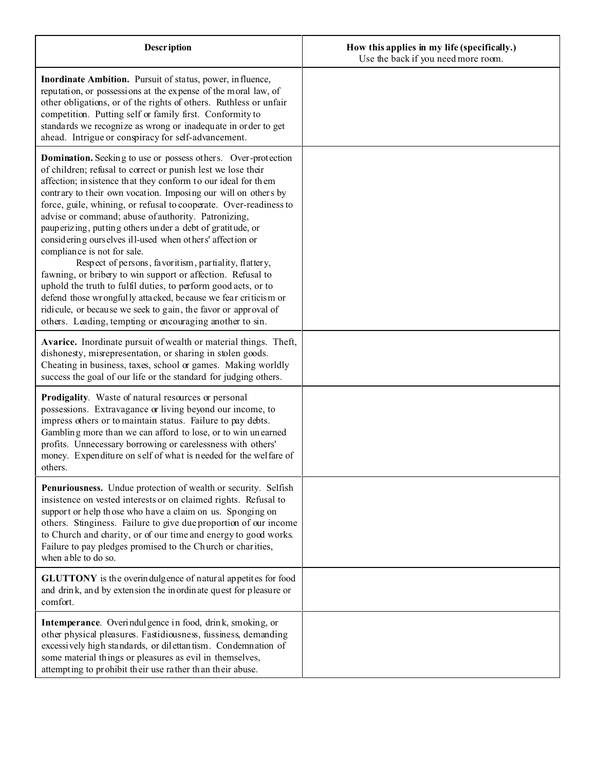| <b>Description</b>                                                                                                                                                                                                                                                                                                                                                                                                                                                                                                                                                                                                                                                                                                                                                                                                                                                                                                                                    | How this applies in my life (specifically.)<br>Use the back if you need more room. |
|-------------------------------------------------------------------------------------------------------------------------------------------------------------------------------------------------------------------------------------------------------------------------------------------------------------------------------------------------------------------------------------------------------------------------------------------------------------------------------------------------------------------------------------------------------------------------------------------------------------------------------------------------------------------------------------------------------------------------------------------------------------------------------------------------------------------------------------------------------------------------------------------------------------------------------------------------------|------------------------------------------------------------------------------------|
| Inordinate Ambition. Pursuit of status, power, in fluence,<br>reputation, or possessions at the expense of the moral law, of<br>other obligations, or of the rights of others. Ruthless or unfair<br>competition. Putting self or family first. Conformity to<br>standards we recognize as wrong or inadequate in order to get<br>ahead. Intrigue or conspiracy for self-advancement.                                                                                                                                                                                                                                                                                                                                                                                                                                                                                                                                                                 |                                                                                    |
| <b>Domination.</b> Seeking to use or possess others. Over-protection<br>of children; refusal to correct or punish lest we lose their<br>affection; insistence that they conform to our ideal for them<br>contrary to their own vocation. Imposing our will on others by<br>force, guile, whining, or refusal to cooperate. Over-readiness to<br>advise or command; abuse of authority. Patronizing,<br>pauperizing, putting others under a debt of gratitude, or<br>considering ourselves ill-used when others' affection or<br>compliance is not for sale.<br>Respect of persons, favoritism, partiality, flattery,<br>fawning, or bribery to win support or affection. Refusal to<br>uphold the truth to fulfil duties, to perform good acts, or to<br>defend those wrongfully attacked, because we fear criticism or<br>ridicule, or because we seek to gain, the favor or approval of<br>others. Leading, tempting or encouraging another to sin. |                                                                                    |
| Avarice. Inordinate pursuit of wealth or material things. Theft,<br>dishonesty, misrepresentation, or sharing in stolen goods.<br>Cheating in business, taxes, school or games. Making worldly<br>success the goal of our life or the standard for judging others.                                                                                                                                                                                                                                                                                                                                                                                                                                                                                                                                                                                                                                                                                    |                                                                                    |
| Prodigality. Waste of natural resources or personal<br>possessions. Extravagance or living beyond our income, to<br>impress others or to maintain status. Failure to pay debts.<br>Gambling more than we can afford to lose, or to win unearned<br>profits. Unnecessary borrowing or carelessness with others'<br>money. Expenditure on self of what is needed for the welfare of<br>others.                                                                                                                                                                                                                                                                                                                                                                                                                                                                                                                                                          |                                                                                    |
| Penuriousness. Undue protection of wealth or security. Selfish<br>insistence on vested interests or on claimed rights. Refusal to<br>support or help those who have a claim on us. Sponging on<br>others. Stinginess. Failure to give due proportion of our income<br>to Church and charity, or of our time and energy to good works.<br>Failure to pay pledges promised to the Church or charities,<br>when able to do so.                                                                                                                                                                                                                                                                                                                                                                                                                                                                                                                           |                                                                                    |
| <b>GLUTTONY</b> is the overindulgence of natural appetites for food<br>and drink, and by extension the inordinate quest for pleasure or<br>comfort.                                                                                                                                                                                                                                                                                                                                                                                                                                                                                                                                                                                                                                                                                                                                                                                                   |                                                                                    |
| Intemperance. Overindulgence in food, drink, smoking, or<br>other physical pleasures. Fastidiousness, fussiness, demanding<br>excessively high standards, or dilettantism. Condemnation of<br>some material things or pleasures as evil in themselves,<br>attempting to prohibit their use rather than their abuse.                                                                                                                                                                                                                                                                                                                                                                                                                                                                                                                                                                                                                                   |                                                                                    |